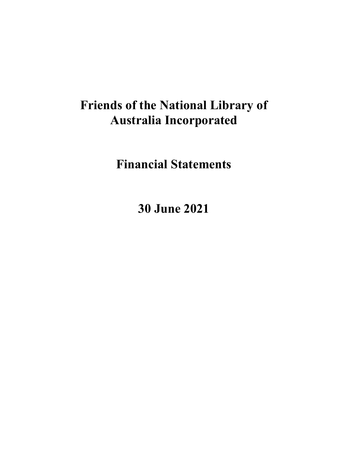**Financial Statements** 

**30 June 2021**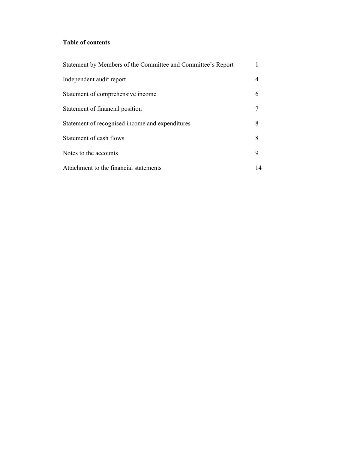# **Table of contents**

| Statement by Members of the Committee and Committee's Report |    |
|--------------------------------------------------------------|----|
| Independent audit report                                     |    |
| Statement of comprehensive income                            | 6  |
| Statement of financial position                              |    |
| Statement of recognised income and expenditures              | 8  |
| Statement of cash flows                                      | 8  |
| Notes to the accounts                                        | 9  |
| Attachment to the financial statements                       | 14 |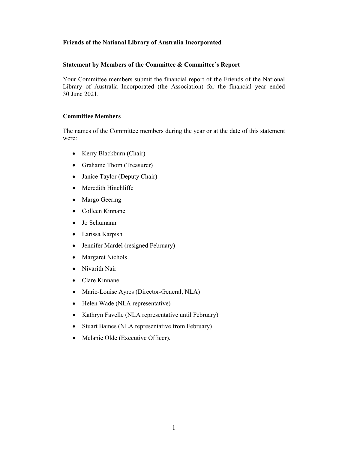#### **Statement by Members of the Committee & Committee's Report**

Your Committee members submit the financial report of the Friends of the National Library of Australia Incorporated (the Association) for the financial year ended 30 June 2021.

#### **Committee Members**

The names of the Committee members during the year or at the date of this statement were:

- Kerry Blackburn (Chair)
- Grahame Thom (Treasurer)
- Janice Taylor (Deputy Chair)
- Meredith Hinchliffe
- Margo Geering
- Colleen Kinnane
- Jo Schumann
- Larissa Karpish
- Jennifer Mardel (resigned February)
- Margaret Nichols
- Nivarith Nair
- Clare Kinnane
- Marie-Louise Ayres (Director-General, NLA)
- Helen Wade (NLA representative)
- Kathryn Favelle (NLA representative until February)
- Stuart Baines (NLA representative from February)
- Melanie Olde (Executive Officer).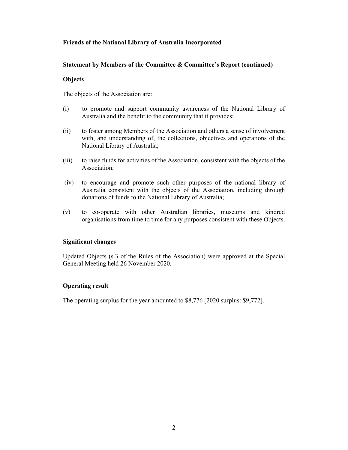# **Statement by Members of the Committee & Committee's Report (continued)**

## **Objects**

The objects of the Association are:

- (i) to promote and support community awareness of the National Library of Australia and the benefit to the community that it provides;
- (ii) to foster among Members of the Association and others a sense of involvement with, and understanding of, the collections, objectives and operations of the National Library of Australia;
- (iii) to raise funds for activities of the Association, consistent with the objects of the Association;
- (iv) to encourage and promote such other purposes of the national library of Australia consistent with the objects of the Association, including through donations of funds to the National Library of Australia;
- (v) to co-operate with other Australian libraries, museums and kindred organisations from time to time for any purposes consistent with these Objects.

## **Significant changes**

Updated Objects (s.3 of the Rules of the Association) were approved at the Special General Meeting held 26 November 2020.

## **Operating result**

The operating surplus for the year amounted to \$8,776 [2020 surplus: \$9,772].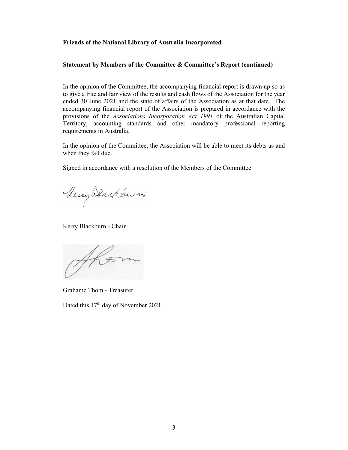#### **Statement by Members of the Committee & Committee's Report (continued)**

In the opinion of the Committee, the accompanying financial report is drawn up so as to give a true and fair view of the results and cash flows of the Association for the year ended 30 June 2021 and the state of affairs of the Association as at that date. The accompanying financial report of the Association is prepared in accordance with the provisions of the *Associations Incorporation Act 1991* of the Australian Capital Territory, accounting standards and other mandatory professional reporting requirements in Australia.

In the opinion of the Committee, the Association will be able to meet its debts as and when they fall due.

Signed in accordance with a resolution of the Members of the Committee.

Theory Dachbeum

Kerry Blackburn - Chair

AKO

Grahame Thom - Treasurer

Dated this 17<sup>th</sup> day of November 2021.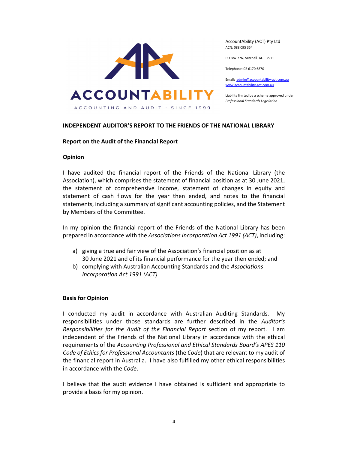

AccountAbility (ACT) Pty Ltd ACN: 088 095 354

PO Box 776, Mitchell ACT 2911

Telephone: 02 6170 6870

Email: admin@accountability‐act.com.au www.accountability‐act.com.au

Liability limited by a scheme approved under *Professional Standards Legislation*

#### **INDEPENDENT AUDITOR'S REPORT TO THE FRIENDS OF THE NATIONAL LIBRARY**

#### **Report on the Audit of the Financial Report**

#### **Opinion**

I have audited the financial report of the Friends of the National Library (the Association), which comprises the statement of financial position as at 30 June 2021, the statement of comprehensive income, statement of changes in equity and statement of cash flows for the year then ended, and notes to the financial statements, including a summary of significant accounting policies, and the Statement by Members of the Committee.

In my opinion the financial report of the Friends of the National Library has been prepared in accordance with the *Associations Incorporation Act 1991 (ACT)*, including:

- a) giving a true and fair view of the Association's financial position as at 30 June 2021 and of its financial performance for the year then ended; and
- b) complying with Australian Accounting Standards and the *Associations Incorporation Act 1991 (ACT)*

#### **Basis for Opinion**

I conducted my audit in accordance with Australian Auditing Standards. My responsibilities under those standards are further described in the *Auditor's Responsibilities for the Audit of the Financial Report* section of my report. I am independent of the Friends of the National Library in accordance with the ethical requirements of the *Accounting Professional and Ethical Standards Board's APES 110 Code of Ethics for Professional Accountants* (the *Code*) that are relevant to my audit of the financial report in Australia. I have also fulfilled my other ethical responsibilities in accordance with the *Code*.

I believe that the audit evidence I have obtained is sufficient and appropriate to provide a basis for my opinion.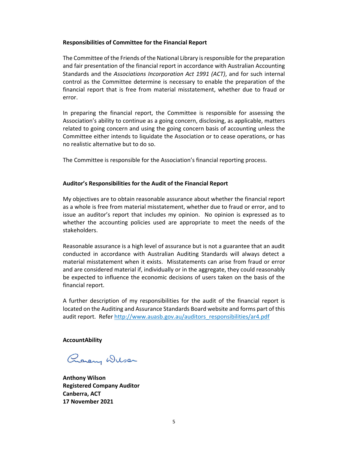#### **Responsibilities of Committee for the Financial Report**

The Committee of the Friends of the National Library isresponsible for the preparation and fair presentation of the financial report in accordance with Australian Accounting Standards and the *Associations Incorporation Act 1991 (ACT)*, and for such internal control as the Committee determine is necessary to enable the preparation of the financial report that is free from material misstatement, whether due to fraud or error.

In preparing the financial report, the Committee is responsible for assessing the Association's ability to continue as a going concern, disclosing, as applicable, matters related to going concern and using the going concern basis of accounting unless the Committee either intends to liquidate the Association or to cease operations, or has no realistic alternative but to do so.

The Committee is responsible for the Association's financial reporting process.

#### **Auditor's Responsibilities for the Audit of the Financial Report**

My objectives are to obtain reasonable assurance about whether the financial report as a whole is free from material misstatement, whether due to fraud or error, and to issue an auditor's report that includes my opinion. No opinion is expressed as to whether the accounting policies used are appropriate to meet the needs of the stakeholders.

Reasonable assurance is a high level of assurance but is not a guarantee that an audit conducted in accordance with Australian Auditing Standards will always detect a material misstatement when it exists. Misstatements can arise from fraud or error and are considered material if, individually or in the aggregate, they could reasonably be expected to influence the economic decisions of users taken on the basis of the financial report.

A further description of my responsibilities for the audit of the financial report is located on the Auditing and Assurance Standards Board website and forms part of this audit report. Refer http://www.auasb.gov.au/auditors\_responsibilities/ar4.pdf

## **AccountAbility**

Promery Wilser

**Anthony Wilson Registered Company Auditor Canberra, ACT 17 November 2021**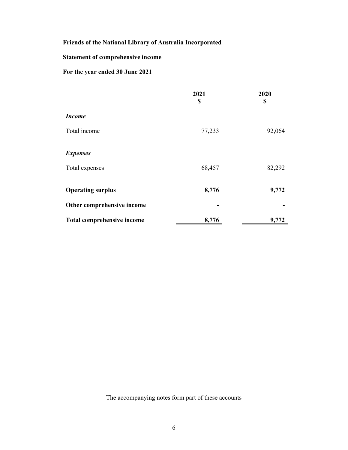# **Statement of comprehensive income**

# **For the year ended 30 June 2021**

|                                   | 2021<br>\$ | 2020<br>\$ |
|-----------------------------------|------------|------------|
| <b>Income</b>                     |            |            |
| Total income                      | 77,233     | 92,064     |
| <b>Expenses</b>                   |            |            |
| Total expenses                    | 68,457     | 82,292     |
| <b>Operating surplus</b>          | 8,776      | 9,772      |
| Other comprehensive income        |            |            |
| <b>Total comprehensive income</b> | 8,776      | 9,772      |

The accompanying notes form part of these accounts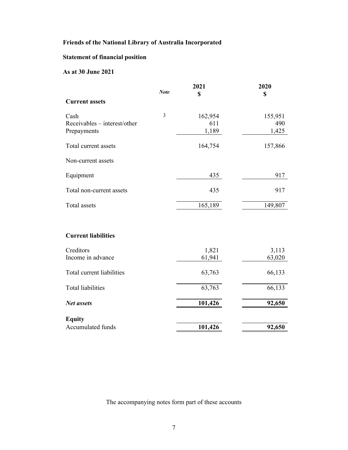# **Statement of financial position**

# **As at 30 June 2021**

|                              |                | 2021    | 2020    |
|------------------------------|----------------|---------|---------|
|                              | <b>Note</b>    | \$      | \$      |
| <b>Current assets</b>        |                |         |         |
| Cash                         | $\overline{3}$ | 162,954 | 155,951 |
| Receivables – interest/other |                | 611     | 490     |
| Prepayments                  |                | 1,189   | 1,425   |
| Total current assets         |                | 164,754 | 157,866 |
| Non-current assets           |                |         |         |
| Equipment                    |                | 435     | 917     |
| Total non-current assets     |                | 435     | 917     |
| Total assets                 |                | 165,189 | 149,807 |
| <b>Current liabilities</b>   |                |         |         |
|                              |                |         |         |
| Creditors                    |                | 1,821   | 3,113   |
| Income in advance            |                | 61,941  | 63,020  |
| Total current liabilities    |                | 63,763  | 66,133  |
| <b>Total liabilities</b>     |                | 63,763  | 66,133  |
| <b>Net assets</b>            |                | 101,426 | 92,650  |
| <b>Equity</b>                |                |         |         |
| Accumulated funds            |                | 101,426 | 92,650  |

The accompanying notes form part of these accounts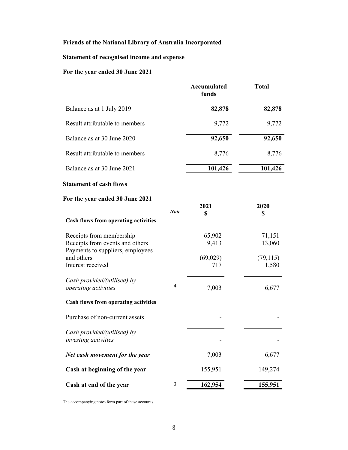# **Statement of recognised income and expense**

# **For the year ended 30 June 2021**

|                                                                                                 |                | <b>Accumulated</b><br>funds | <b>Total</b>       |
|-------------------------------------------------------------------------------------------------|----------------|-----------------------------|--------------------|
| Balance as at 1 July 2019                                                                       |                | 82,878                      | 82,878             |
| Result attributable to members                                                                  |                | 9,772                       | 9,772              |
| Balance as at 30 June 2020                                                                      |                | 92,650                      | 92,650             |
| Result attributable to members                                                                  |                | 8,776                       | 8,776              |
| Balance as at 30 June 2021                                                                      |                | 101,426                     | 101,426            |
| <b>Statement of cash flows</b>                                                                  |                |                             |                    |
| For the year ended 30 June 2021                                                                 | <b>Note</b>    | 2021<br>\$                  | 2020<br>\$         |
| <b>Cash flows from operating activities</b>                                                     |                |                             |                    |
| Receipts from membership<br>Receipts from events and others<br>Payments to suppliers, employees |                | 65,902<br>9,413             | 71,151<br>13,060   |
| and others<br>Interest received                                                                 |                | (69, 029)<br>717            | (79, 115)<br>1,580 |
| Cash provided/(utilised) by<br>operating activities                                             | 4              | 7,003                       | 6,677              |
| <b>Cash flows from operating activities</b>                                                     |                |                             |                    |
| Purchase of non-current assets                                                                  |                |                             |                    |
| Cash provided/(utilised) by<br>investing activities                                             |                |                             |                    |
| Net cash movement for the year                                                                  |                | 7,003                       | 6,677              |
| Cash at beginning of the year                                                                   |                | 155,951                     | 149,274            |
| Cash at end of the year                                                                         | $\mathfrak{Z}$ | 162,954                     | 155,951            |

The accompanying notes form part of these accounts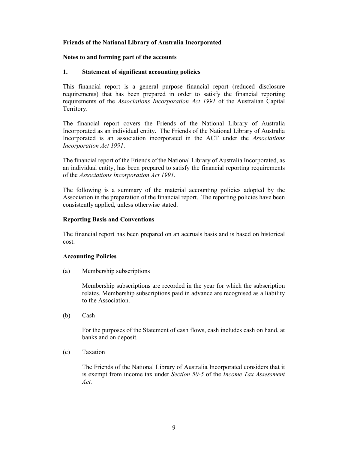# **Notes to and forming part of the accounts**

# **1. Statement of significant accounting policies**

This financial report is a general purpose financial report (reduced disclosure requirements) that has been prepared in order to satisfy the financial reporting requirements of the *Associations Incorporation Act 1991* of the Australian Capital Territory.

The financial report covers the Friends of the National Library of Australia Incorporated as an individual entity. The Friends of the National Library of Australia Incorporated is an association incorporated in the ACT under the *Associations Incorporation Act 1991*.

The financial report of the Friends of the National Library of Australia Incorporated, as an individual entity, has been prepared to satisfy the financial reporting requirements of the *Associations Incorporation Act 1991*.

The following is a summary of the material accounting policies adopted by the Association in the preparation of the financial report. The reporting policies have been consistently applied, unless otherwise stated.

## **Reporting Basis and Conventions**

The financial report has been prepared on an accruals basis and is based on historical cost.

## **Accounting Policies**

(a) Membership subscriptions

Membership subscriptions are recorded in the year for which the subscription relates. Membership subscriptions paid in advance are recognised as a liability to the Association.

(b) Cash

For the purposes of the Statement of cash flows, cash includes cash on hand, at banks and on deposit.

(c) Taxation

The Friends of the National Library of Australia Incorporated considers that it is exempt from income tax under *Section 50-5* of the *Income Tax Assessment Act.*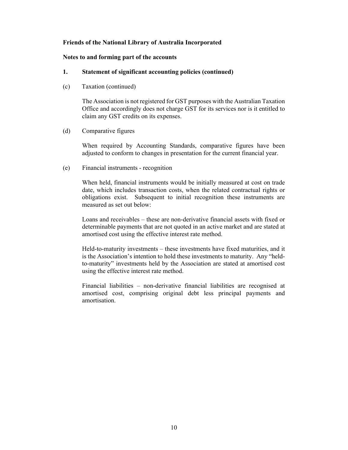#### **Notes to and forming part of the accounts**

## **1. Statement of significant accounting policies (continued)**

(c) Taxation (continued)

The Association is not registered for GST purposes with the Australian Taxation Office and accordingly does not charge GST for its services nor is it entitled to claim any GST credits on its expenses.

(d) Comparative figures

When required by Accounting Standards, comparative figures have been adjusted to conform to changes in presentation for the current financial year.

(e) Financial instruments - recognition

When held, financial instruments would be initially measured at cost on trade date, which includes transaction costs, when the related contractual rights or obligations exist. Subsequent to initial recognition these instruments are measured as set out below:

Loans and receivables – these are non-derivative financial assets with fixed or determinable payments that are not quoted in an active market and are stated at amortised cost using the effective interest rate method.

Held-to-maturity investments – these investments have fixed maturities, and it is the Association's intention to hold these investments to maturity. Any "heldto-maturity" investments held by the Association are stated at amortised cost using the effective interest rate method.

Financial liabilities – non-derivative financial liabilities are recognised at amortised cost, comprising original debt less principal payments and amortisation.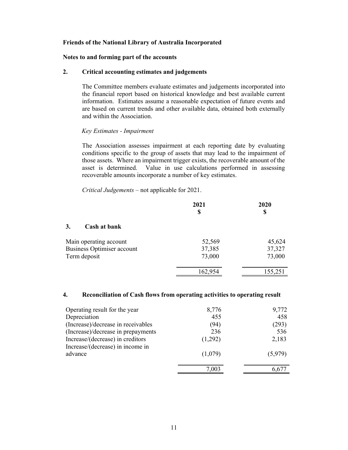#### **Notes to and forming part of the accounts**

#### **2. Critical accounting estimates and judgements**

The Committee members evaluate estimates and judgements incorporated into the financial report based on historical knowledge and best available current information. Estimates assume a reasonable expectation of future events and are based on current trends and other available data, obtained both externally and within the Association.

#### *Key Estimates - Impairment*

The Association assesses impairment at each reporting date by evaluating conditions specific to the group of assets that may lead to the impairment of those assets. Where an impairment trigger exists, the recoverable amount of the asset is determined. Value in use calculations performed in assessing recoverable amounts incorporate a number of key estimates.

*Critical Judgements* – not applicable for 2021.

|                                   | 2021<br>S | 2020<br>S |
|-----------------------------------|-----------|-----------|
| 3.<br>Cash at bank                |           |           |
| Main operating account            | 52,569    | 45,624    |
| <b>Business Optimiser account</b> | 37,385    | 37,327    |
| Term deposit                      | 73,000    | 73,000    |
|                                   | 162,954   | 155,251   |

#### **4. Reconciliation of Cash flows from operating activities to operating result**

| Operating result for the year      | 8,776   | 9,772   |
|------------------------------------|---------|---------|
| Depreciation                       | 455     | 458     |
| (Increase)/decrease in receivables | (94)    | (293)   |
| (Increase)/decrease in prepayments | 236     | 536     |
| Increase/(decrease) in creditors   | (1,292) | 2,183   |
| Increase/(decrease) in income in   |         |         |
| advance                            | (1,079) | (5,979) |
|                                    | 7,003   |         |
|                                    |         |         |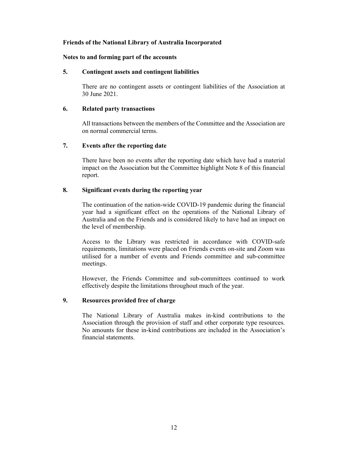## **Notes to and forming part of the accounts**

#### **5. Contingent assets and contingent liabilities**

There are no contingent assets or contingent liabilities of the Association at 30 June 2021.

#### **6. Related party transactions**

All transactions between the members of the Committee and the Association are on normal commercial terms.

#### **7. Events after the reporting date**

There have been no events after the reporting date which have had a material impact on the Association but the Committee highlight Note 8 of this financial report.

## **8. Significant events during the reporting year**

The continuation of the nation-wide COVID-19 pandemic during the financial year had a significant effect on the operations of the National Library of Australia and on the Friends and is considered likely to have had an impact on the level of membership.

Access to the Library was restricted in accordance with COVID-safe requirements, limitations were placed on Friends events on-site and Zoom was utilised for a number of events and Friends committee and sub-committee meetings.

However, the Friends Committee and sub-committees continued to work effectively despite the limitations throughout much of the year.

## **9. Resources provided free of charge**

The National Library of Australia makes in-kind contributions to the Association through the provision of staff and other corporate type resources. No amounts for these in-kind contributions are included in the Association's financial statements.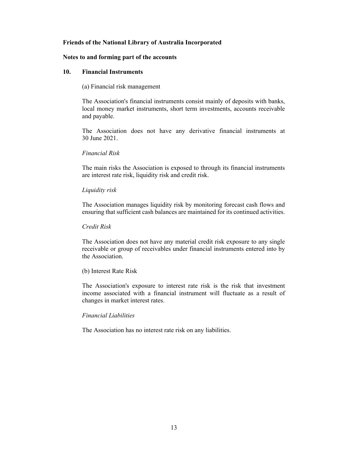#### **Notes to and forming part of the accounts**

#### **10. Financial Instruments**

(a) Financial risk management

The Association's financial instruments consist mainly of deposits with banks, local money market instruments, short term investments, accounts receivable and payable.

The Association does not have any derivative financial instruments at 30 June 2021.

*Financial Risk* 

The main risks the Association is exposed to through its financial instruments are interest rate risk, liquidity risk and credit risk.

## *Liquidity risk*

The Association manages liquidity risk by monitoring forecast cash flows and ensuring that sufficient cash balances are maintained for its continued activities.

*Credit Risk* 

The Association does not have any material credit risk exposure to any single receivable or group of receivables under financial instruments entered into by the Association.

## (b) Interest Rate Risk

The Association's exposure to interest rate risk is the risk that investment income associated with a financial instrument will fluctuate as a result of changes in market interest rates.

## *Financial Liabilities*

The Association has no interest rate risk on any liabilities.